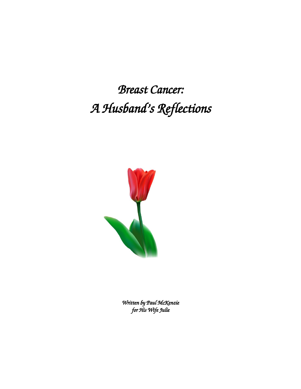*Breast Cancer: A Husband's Reflections* 



*Written by Paul McKenzie for His Wife Julie*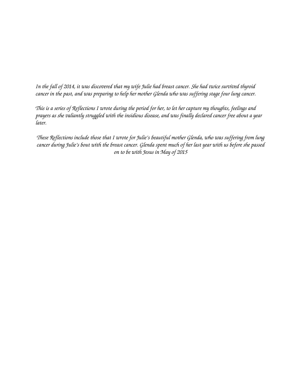*In the fall of 2014, it was discovered that my wife Julie had breast cancer. She had twice survived thyroid cancer in the past, and was preparing to help her mother Glenda who was suffering stage four lung cancer.*

*This is a series of Reflections I wrote during the period for her, to let her capture my thoughts, feelings and prayers as she valiantly struggled with the insidious disease, and was finally declared cancer free about a year later.* 

*These Reflections include those that I wrote for Julie's beautiful mother Glenda, who was suffering from lung cancer during Julie's bout with the breast cancer. Glenda spent much of her last year with us before she passed on to be with Jesus in May of 2015*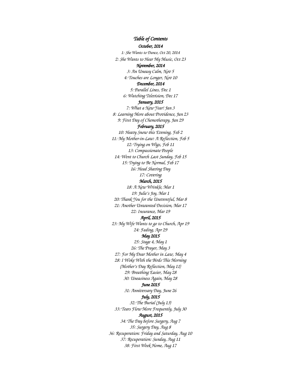*October, 2014 1: She Wants to Dance, Oct 20, 2014 2: She Wants to Hear My Music, Oct 23 November, 2014 3: An Uneasy Calm, Nov 5 4: Touches are Longer, Nov 10 December, 2014 5: Parallel Lines, Dec 1 6: Watching Television, Dec 17 January, 2015 7: What a New Year! Jan 3 8: Learning More about Providence, Jan 23 9: First Day of Chemotherapy, Jan 29 February, 2015 10: Heavy Snow this Evening, Feb 2 11: My Mother-in-Law: A Reflection, Feb 5 12: Trying on Wigs, Feb 11 13: Compassionate People 14: Went to Church Last Sunday, Feb 15 15: Trying to Be Normal, Feb 17 16: Head Shaving Day 17: Covering March, 2015 18: A New Wrinkle, Mar 1 19: Julie's Joy, Mar 1 20: Thank You for the Uneventful, Mar 8 21: Another Unwanted Decision, Mar 17 22: Insurance, Mar 19 April, 2015 23: My Wife Wants to go to Church, Apr 19 24: Fading, Apr 29 May 2015 25: Stage 4, May 1 26: The Prayer, May 3 27: For My Dear Mother in Law, May 4 28: I Woke With the Birds This Morning (Mother's Day Reflection, May 11) 29: Breathing Easier, May 28 30: Uneasiness Again, May 28 June 2015 31: Anniversary Day, June 26 July, 2015 32: The Burial (July 13) 33: Tears Flow More Frequently, July 30 August, 2015 34: The Day before Surgery, Aug 7 35: Surgery Day, Aug 8 36: Recuperation: Friday and Saturday, Aug 10 37: Recuperation: Sunday, Aug 11 38: First Week Home, Aug 17*

*Table of Contents*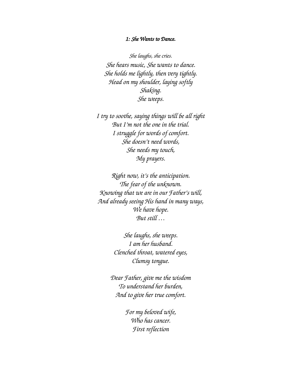## *1: She Wants to Dance.*

*She laughs, she cries. She hears music, She wants to dance. She holds me lightly, then very tightly. Head on my shoulder, laying softly Shaking. She weeps.*

*I try to soothe, saying things will be all right But I'm not the one in the trial. I struggle for words of comfort. She doesn't need words, She needs my touch, My prayers.*

*Right now, it's the anticipation. The fear of the unknown. Knowing that we are in our Father's will, And already seeing His hand in many ways, We have hope. But still …*

> *She laughs, she weeps. I am her husband. Clenched throat, watered eyes, Clumsy tongue.*

*Dear Father, give me the wisdom To understand her burden, And to give her true comfort.*

> *For my beloved wife, Who has cancer. First reflection*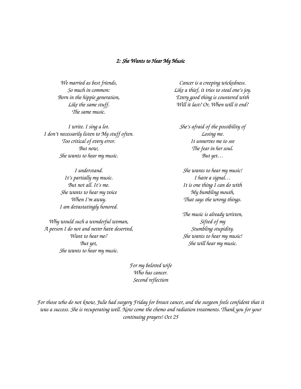#### *2: She Wants to Hear My Music*

*We married as best friends, So much in common: Born in the hippie generation, Like the same stuff. The same music.*

*I write. I sing a lot. I don't necessarily listen to My stuff often. Too critical of every error. But now, She wants to hear my music.*

> *I understand. It's partially my music. But not all. It's me. She wants to hear my voice When I'm away. I am devastatingly honored.*

*Why would such a wonderful woman, A person I do not and never have deserved, Want to hear me? But yet, She wants to hear my music.*

*Cancer is a creeping wickedness. Like a thief, it tries to steal one's joy. Every good thing is countered with Will it last? Or, When will it end?*

*She's afraid of the possibility of Losing me. It unnerves me to see The fear in her soul. But yet…*

*She wants to hear my music! I have a signal… It is one thing I can do with My bumbling mouth, That says the wrong things.*

*The music is already written, Sifted of my Stumbling stupidity. She wants to hear my music! She will hear my music.*

*For my beloved wife Who has cancer. Second reflection*

*For those who do not know, Julie had surgery Friday for breast cancer, and the surgeon feels confident that it was a success. She is recuperating well. Now come the chemo and radiation treatments. Thank you for your continuing prayers! Oct 25*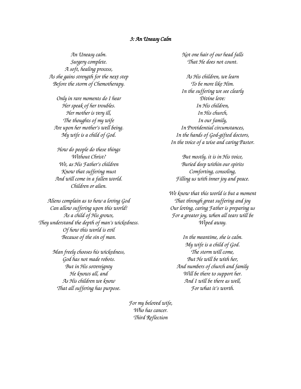#### *3: An Uneasy Calm*

*An Uneasy calm. Surgery complete. A soft, healing process, As she gains strength for the next step Before the storm of Chemotherapy.*

*Only in rare moments do I hear Her speak of her troubles. Her mother is very ill, The thoughts of my wife Are upon her mother's well being. My wife is a child of God.*

*How do people do these things Without Christ? We, as His Father's children Know that suffering must And will come in a fallen world. Children or alien.*

*Aliens complain as to how a loving God Can allow suffering upon this world! As a child of His grows, They understand the depth of man's wickedness. Of how this world is evil Because of the sin of man.*

> *Man freely chooses his wickedness, God has not made robots. But in His sovereignty He knows all, and As His children we know That all suffering has purpose.*

> > *For my beloved wife, Who has cancer. Third Reflection*

*Not one hair of our head falls That He does not count.*

*As His children, we learn To be more like Him. In the suffering we see clearly Divine love: In His children, In His church, In our family, In Providential circumstances, In the hands of God-gifted doctors, In the voice of a wise and caring Pastor.*

*But mostly, it is in His voice, Buried deep within our spirits Comforting, consoling, Filling us with inner joy and peace.*

*We know that this world is but a moment That through great suffering and joy Our loving, caring Father is preparing us For a greater joy, when all tears will be Wiped away.*

*In the meantime, she is calm. My wife is a child of God. The storm will come, But He will be with her, And numbers of church and family Will be there to support her. And I will be there as well, For what it's worth.*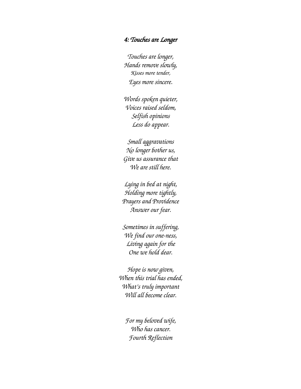## *4: Touches are Longer*

*Touches are longer, Hands remove slowly, Kisses more tender, Eyes more sincere.*

*Words spoken quieter, Voices raised seldom, Selfish opinions Less do appear.*

*Small aggravations No longer bother us, Give us assurance that We are still here.*

*Lying in bed at night, Holding more tightly, Prayers and Providence Answer our fear.*

*Sometimes in suffering, We find our one-ness, Living again for the One we hold dear.*

*Hope is now given, When this trial has ended, What's truly important Will all become clear.*

> *For my beloved wife, Who has cancer. Fourth Reflection*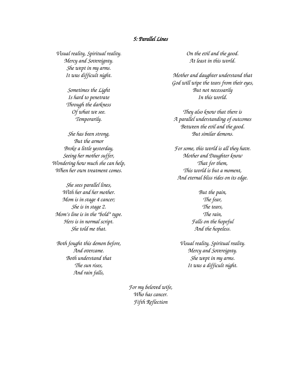## *5: Parallel Lines*

*Visual reality, Spiritual reality. Mercy and Sovereignty. She wept in my arms. It was difficult night.*

> *Sometimes the Light Is hard to penetrate Through the darkness Of what we see. Temporarily.*

*She has been strong, But the armor Broke a little yesterday, Seeing her mother suffer, Wondering how much she can help, When her own treatment comes.*

*She sees parallel lines, With her and her mother. Mom is in stage 4 cancer; She is in stage 2. Mom's line is in the "bold" type. Hers is in normal script. She told me that.*

*Both fought this demon before, And overcame. Both understand that The sun rises, And rain falls,*

*On the evil and the good. At least in this world.*

*Mother and daughter understand that God will wipe the tears from their eyes, But not necessarily In this world.*

*They also know that there is A parallel understanding of outcomes Between the evil and the good. But similar demons.*

*For some, this world is all they have. Mother and Daughter know That for them, This world is but a moment, And eternal bliss rides on its edge.*

> *But the pain, The fear, The tears, The rain, Falls on the hopeful And the hopeless.*

*Visual reality, Spiritual reality. Mercy and Sovereignty. She wept in my arms. It was a difficult night.*

*For my beloved wife, Who has cancer. Fifth Reflection*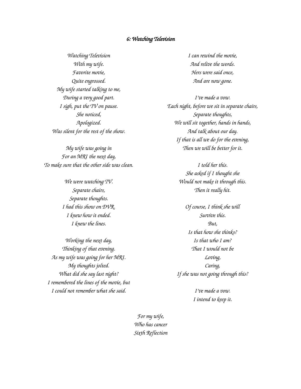#### *6: Watching Television*

*Watching Television With my wife. Favorite movie, Quite engrossed. My wife started talking to me, During a very good part. I sigh, put the TV on pause. She noticed, Apologized. Was silent for the rest of the show.*

*My wife was going in For an MRI the next day, To make sure that the other side was clean.*

> *We were watching TV. Separate chairs, Separate thoughts. I had this show on DVR. I knew how it ended. I knew the lines.*

*Working the next day, Thinking of that evening. As my wife was going for her MRI. My thoughts jolted. What did she say last night? I remembered the lines of the movie, but I could not remember what she said.*

*I can rewind the movie, And relive the words. Hers were said once, And are now gone.*

*I've made a vow. Each night, before we sit in separate chairs, Separate thoughts, We will sit together, hands in hands, And talk about our day. If that is all we do for the evening, Then we will be better for it.*

> *I told her this. She asked if I thought she Would not make it through this. Then it really hit.*

*Of course, I think she will Survive this. But, Is that how she thinks? Is that who I am? That I would not be Loving, Caring, If she was not going through this?*

> *I've made a vow. I intend to keep it.*

*For my wife, Who has cancer Sixth Reflection*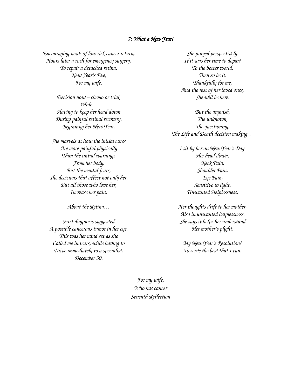#### *7: What a New Year!*

*Encouraging news of low risk cancer return, Hours later a rush for emergency surgery, To repair a detached retina. New Year's Eve, For my wife.*

> *Decision now – chemo or trial, While… Having to keep her head down During painful retinal recovery. Beginning her New Year.*

*She marvels at how the initial cures Are more painful physically Than the initial warnings From her body. But the mental fears, The decisions that affect not only her, But all those who love her, Increase her pain.*

*About the Retina…*

*First diagnosis suggested A possible cancerous tumor in her eye. This was her mind set as she Called me in tears, while having to Drive immediately to a specialist. December 30.*

*She prayed perspectively. If it was her time to depart To the better world, Then so be it. Thankfully for me, And the rest of her loved ones, She will be here.*

*But the anguish, The unknown, The questioning, The Life and Death decision making…*

*I sit by her on New Year's Day. Her head down, Neck Pain, Shoulder Pain, Eye Pain, Sensitive to light. Unwanted Helplessness.*

*Her thoughts drift to her mother, Also in unwanted helplessness. She says it helps her understand Her mother's plight.*

*My New Year's Resolution? To serve the best that I can.*

*For my wife, Who has cancer Seventh Reflection*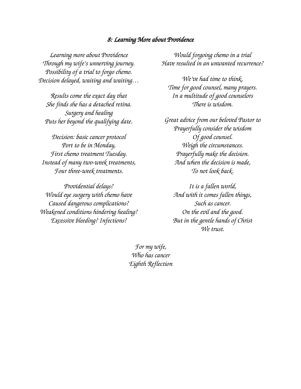# *8: Learning More about Providence*

*Learning more about Providence Through my wife's unnerving journey. Possibility of a trial to forgo chemo. Decision delayed, waiting and waiting…*

*Results come the exact day that She finds she has a detached retina. Surgery and healing Puts her beyond the qualifying date.*

*Decision: basic cancer protocol Port to be in Monday, First chemo treatment Tuesday. Instead of many two-week treatments, Four three-week treatments.*

*Providential delays? Would eye surgery with chemo have Caused dangerous complications? Weakened conditions hindering healing? Excessive bleeding? Infections?*

*Would forgoing chemo in a trial Have resulted in an unwanted recurrence?*

*We've had time to think, Time for good counsel, many prayers. In a multitude of good counselors There is wisdom.*

*Great advice from our beloved Pastor to Prayerfully consider the wisdom Of good counsel. Weigh the circumstances. Prayerfully make the decision. And when the decision is made, To not look back.*

*It is a fallen world, And with it comes fallen things, Such as cancer. On the evil and the good. But in the gentle hands of Christ We trust.*

*For my wife, Who has cancer Eighth Reflection*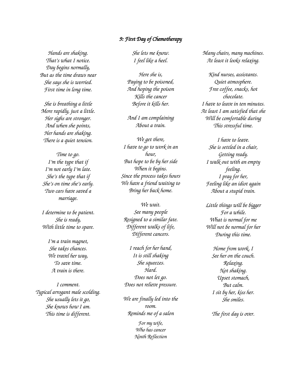## *9: First Day of Chemotherapy*

*Hands are shaking. That's what I notice. Day begins normally, But as the time draws near She says she is worried. First time in long time.*

*She is breathing a little More rapidly, just a little. Her sighs are stronger. And when she points, Her hands are shaking. There is a quiet tension.*

*Time to go. I'm the type that if I'm not early I'm late. She's the type that if She's on time she's early. Two cars have saved a marriage.*

*I determine to be patient. She is ready, With little time to spare.*

> *I'm a train magnet, She takes chances. We travel her way, To save time. A train is there.*

*I comment. Typical arrogant male scolding. She usually lets it go, She knows how I am. This time is different.*

*She lets me know. I feel like a heel.*

*Here she is, Paying to be poisoned, And hoping the poison Kills the cancer Before it kills her.*

*And I am complaining About a train.*

*We get there, I have to go to work in an hour, But hope to be by her side When it begins. Since the process takes hours We have a friend waiting to Bring her back home.*

*We wait. See many people Resigned to a similar fate. Different walks of life, Different cancers.*

*I reach for her hand, It is still shaking She squeezes. Hard. Does not let go. Does not relieve pressure.*

*We are finally led into the room. Reminds me of a salon*

> *For my wife, Who has cancer Ninth Reflection*

*Many chairs, many machines. At least it looks relaxing.*

*Kind nurses, assistants. Quiet atmosphere. Free coffee, snacks, hot chocolate. I have to leave in ten minutes. At least I am satisfied that she Will be comfortable during This stressful time.*

*I have to leave. She is settled in a chair, Getting ready. I walk out with an empty feeling. I pray for her, Feeling like an idiot again About a stupid train.*

*Little things will be bigger For a while. What is normal for me Will not be normal for her During this time.*

> *Home from work, I See her on the couch. Relaxing. Not shaking. Upset stomach, But calm. I sit by her, kiss her. She smiles.*

*The first day is over.*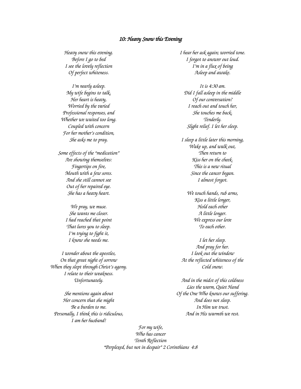#### *10: Heavy Snow this Evening*

*Heavy snow this evening. Before I go to bed I see the lovely reflection Of perfect whiteness.*

*I'm nearly asleep. My wife begins to talk, Her heart is heavy, Worried by the varied Professional responses, and Whether we waited too long. Coupled with concern For her mother's condition, She asks me to pray.*

*Some effects of the "medication" Are showing themselves: Fingertips on fire, Mouth with a few sores. And she still cannot see Out of her repaired eye. She has a heavy heart.*

> *We pray, we muse. She wants me closer. I had reached that point That lures you to sleep. I'm trying to fight it, I know she needs me.*

*I wonder about the apostles, On that great night of sorrow When they slept through Christ's agony. I relate to their weakness. Unfortunately.*

*She mentions again about Her concern that she might Be a burden to me. Personally, I think this is ridiculous, I am her husband!*

*I hear her ask again; worried tone. I forgot to answer out loud. I'm in a flux of being Asleep and awake.*

*It is 4:30 am. Did I fall asleep in the middle Of our conversation? I reach out and touch her, She touches me back, Tenderly. Slight relief. I let her sleep.*

*I sleep a little later this morning, Wake up, and walk out, Then return to Kiss her on the cheek. This is a new ritual Since the cancer began. I almost forgot.*

*We touch hands, rub arms, Kiss a little longer, Hold each other A little longer. We express our love To each other.*

*I let her sleep. And pray for her. I look out the window At the reflected whiteness of the Cold snow.*

*And in the midst of this coldness Lies the warm, Quiet Hand Of the One Who knows our suffering. And does not sleep. In Him we trust. And in His warmth we rest.*

*For my wife, Who has cancer Tenth Reflection "Perplexed, but not in despair" 2 Corinthians 4:8*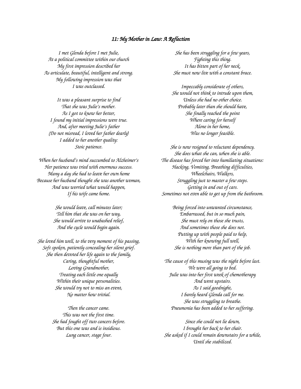#### *11: My Mother in Law: A Reflection*

*I met Glenda before I met Julie, At a political committee within our church My first impression described her As articulate, beautiful, intelligent and strong. My following impression was that I was outclassed.*

*It was a pleasant surprise to find That she was Julie's mother. As I got to know her better, I found my initial impressions were true. And, after meeting Julie's father (Do not misread, I loved her father dearly) I added to her another quality: Stoic patience.*

*When her husband's mind succumbed to Alzheimer's Her patience was tried with enormous success. Many a day she had to leave her own home Because her husband thought she was another woman, And was worried what would happen, If his wife came home.*

> *She would leave, call minutes later; Tell him that she was on her way, She would arrive to unabashed relief, And the cycle would begin again.*

*She loved him well, to the very moment of his passing, Soft spoken, patiently concealing her silent grief. She then devoted her life again to the family, Caring, thoughtful mother, Loving Grandmother, Treating each little one equally Within their unique personalities. She would try not to miss an event, No matter how trivial.*

> *Then the cancer came. This was not the first time. She had fought off two cancers before. But this one was and is insidious. Lung cancer, stage four.*

*She has been struggling for a few years, Fighting this thing. It has bitten part of her neck, She must now live with a constant brace.*

*Impeccably considerate of others, She would not think to intrude upon them, Unless she had no other choice. Probably later than she should have, She finally reached the point Where caring for herself Alone in her home, Was no longer feasible.*

*She is now resigned to reluctant dependency. She does what she can, when she is able. The disease has forced her into humiliating situations: Hacking, Vomiting, Breathing difficulties, Wheelchairs, Walkers, Struggling just to master a few steps. Getting in and out of cars. Sometimes not even able to get up from the bathroom.*

*Being forced into unwanted circumstance, Embarrassed, but in so much pain, She must rely on those she trusts, And sometimes those she does not. Putting up with people paid to help, With her knowing full well, She is nothing more than part of the job.*

*The cause of this musing was the night before last. We were all going to bed. Julie was into her first week of chemotherapy And went upstairs. As I said goodnight, I barely heard Glenda call for me. She was struggling to breathe. Pneumonia has been added to her suffering.*

*Since she could not lie down, I brought her back to her chair. She asked if I could remain downstairs for a while, Until she stabilized.*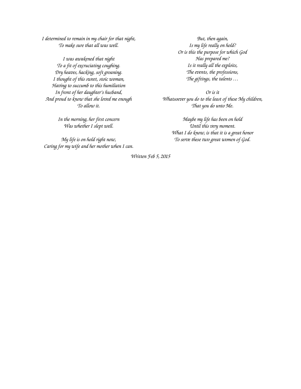*I determined to remain in my chair for that night, To make sure that all was well.*

*I was awakened that night To a fit of excruciating coughing. Dry heaves, hacking, soft groaning. I thought of this sweet, stoic woman, Having to succumb to this humiliation In front of her daughter's husband, And proud to know that she loved me enough To allow it.*

> *In the morning, her first concern Was whether I slept well.*

*My life is on hold right now, Caring for my wife and her mother when I can.*

*But, then again, Is my life really on hold? Or is this the purpose for which God Has prepared me? Is it really all the exploits, The events, the professions, The giftings, the talents …*

*Or is it Whatsoever you do to the least of these My children, That you do unto Me.*

*Maybe my life has been on hold Until this very moment. What I do know, is that it is a great honor To serve these two great women of God.*

*Written Feb 5, 2015*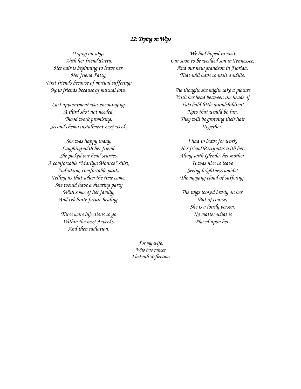## *12: Trying on Wigs*

*Trying on wigs With her friend Patty. Her hair is beginning to leave her. Her friend Patty, First friends because of mutual suffering; Now friends because of mutual love.*

*Last appointment was encouraging. A third shot not needed, Blood work promising. Second chemo installment next week.*

*She was happy today, Laughing with her friend. She picked out head scarves, A comfortable "Marilyn Monroe" shirt, And warm, comfortable pants. Telling us that when the time came, She would have a shearing party With some of her family, And celebrate future healing.*

> *Three more injections to go Within the next 9 weeks. And then radiation.*

*We had hoped to visit Our soon to be wedded son in Tennessee, And our new grandson in Florida. That will have to wait a while.*

*She thought she might take a picture With her head between the heads of Two bald little grandchildren! Now that would be fun. They will be growing their hair Together.*

*I had to leave for work. Her friend Patty was with her, Along with Glenda, her mother. It was nice to leave Seeing brightness amidst The nagging cloud of suffering.*

*The wigs looked lovely on her. But of course, She is a lovely person. No matter what is Placed upon her.*

*For my wife, Who has cancer Eleventh Reflection*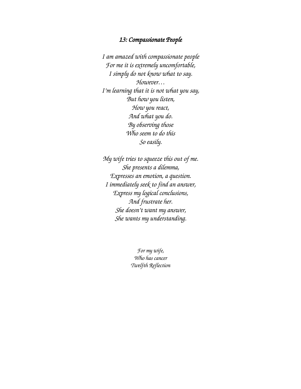## *13: Compassionate People*

*I am amazed with compassionate people For me it is extremely uncomfortable, I simply do not know what to say. However… I'm learning that it is not what you say, But how you listen, How you react, And what you do. By observing those Who seem to do this So easily.*

*My wife tries to squeeze this out of me. She presents a dilemma, Expresses an emotion, a question. I immediately seek to find an answer, Express my logical conclusions, And frustrate her. She doesn't want my answer, She wants my understanding.*

> *For my wife, Who has cancer Twelfth Reflection*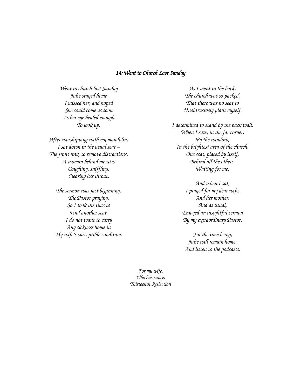### *14: Went to Church Last Sunday*

*Went to church last Sunday Julie stayed home I missed her, and hoped She could come as soon As her eye healed enough To look up.*

*After worshipping with my mandolin, I sat down in the usual seat – The front row, to remove distractions. A woman behind me was Coughing, sniffling, Clearing her throat.*

*The sermon was just beginning, The Pastor praying, So I took the time to Find another seat. I do not want to carry Any sickness home in My wife's susceptible condition.*

*As I went to the back, The church was so packed, That there was no seat to Unobtrusively plant myself.*

*I determined to stand by the back wall, When I saw, in the far corner, By the window, In the brightest area of the church, One seat, placed by itself, Behind all the others. Waiting for me.*

> *And when I sat, I prayed for my dear wife, And her mother, And as usual, Enjoyed an insightful sermon By my extraordinary Pastor.*

*For the time being, Julie will remain home, And listen to the podcasts.*

*For my wife, Who has cancer Thirteenth Reflection*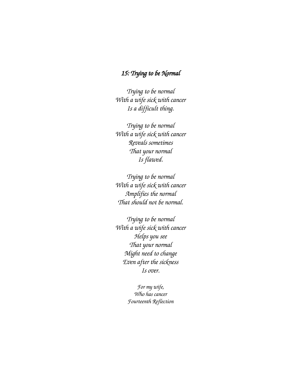# *15: Trying to be Normal*

*Trying to be normal With a wife sick with cancer Is a difficult thing.*

*Trying to be normal With a wife sick with cancer Reveals sometimes That your normal Is flawed.*

*Trying to be normal With a wife sick with cancer Amplifies the normal That should not be normal.*

*Trying to be normal With a wife sick with cancer Helps you see That your normal Might need to change Even after the sickness Is over.*

> *For my wife, Who has cancer Fourteenth Reflection*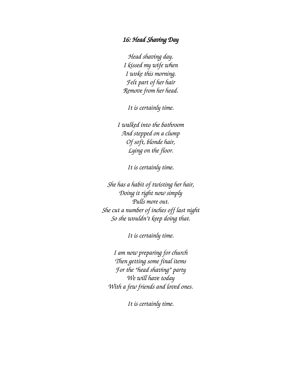# *16: Head Shaving Day*

*Head shaving day. I kissed my wife when I woke this morning. Felt part of her hair Remove from her head.*

*It is certainly time.*

*I walked into the bathroom And stepped on a clump Of soft, blonde hair, Lying on the floor.*

*It is certainly time.*

*She has a habit of twisting her hair, Doing it right now simply Pulls more out. She cut a number of inches off last night So she wouldn't keep doing that.*

*It is certainly time.*

*I am now preparing for church Then getting some final items For the "head shaving" party We will have today With a few friends and loved ones.*

*It is certainly time.*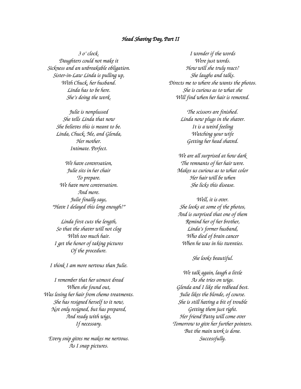#### *Head Shaving Day, Part II*

*3 o' clock. Daughters could not make it Sickness and an unbreakable obligation. Sister-in-Law Linda is pulling up, With Chuck, her husband. Linda has to be here. She's doing the work.*

> *Julie is nonplussed She tells Linda that now She believes this is meant to be. Linda, Chuck, Me, and Glenda, Her mother. Intimate. Perfect.*

*We have conversation, Julie sits in her chair To prepare. We have more conversation. And more. Julie finally says, "Have I delayed this long enough?"*

*Linda first cuts the length, So that the shaver will not clog With too much hair. I get the honor of taking pictures Of the procedure.*

*I think I am more nervous than Julie.*

*I remember that her utmost dread When she found out, Was losing her hair from chemo treatments. She has resigned herself to it now, Not only resigned, but has prepared, And ready with wigs, If necessary.*

*Every snip gives me makes me nervous. As I snap pictures.*

*I wonder if the words Were just words. How will she truly react? She laughs and talks. Directs me to where she wants the photos. She is curious as to what she Will find when her hair is removed.*

> *The scissors are finished. Linda now plugs in the shaver. It is a weird feeling Watching your wife Getting her head shaved.*

*We are all surprised at how dark The remnants of her hair were. Makes us curious as to what color Her hair will be when She licks this disease.*

*Well, it is over. She looks at some of the photos, And is surprised that one of them Remind her of her brother, Linda's former husband, Who died of brain cancer When he was in his twenties.*

*She looks beautiful.*

*We talk again, laugh a little As she tries on wigs. Glenda and I like the redhead best. Julie likes the blonde, of course. She is still having a bit of trouble Getting them just right. Her friend Patty will come over Tomorrow to give her further pointers. But the main work is done. Successfully.*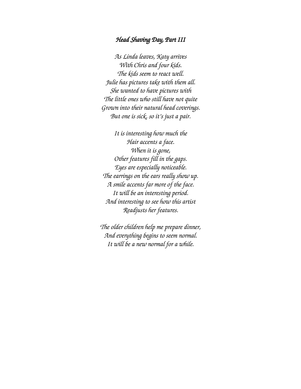## *Head Shaving Day, Part III*

*As Linda leaves, Katy arrives With Chris and four kids. The kids seem to react well. Julie has pictures take with them all. She wanted to have pictures with The little ones who still have not quite Grown into their natural head coverings. But one is sick, so it's just a pair.*

*It is interesting how much the Hair accents a face. When it is gone, Other features fill in the gaps. Eyes are especially noticeable. The earrings on the ears really show up. A smile accents far more of the face. It will be an interesting period. And interesting to see how this artist Readjusts her features.*

*The older children help me prepare dinner, And everything begins to seem normal. It will be a new normal for a while.*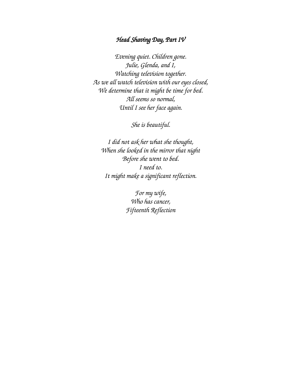# *Head Shaving Day, Part IV*

*Evening quiet. Children gone. Julie, Glenda, and I, Watching television together. As we all watch television with our eyes closed, We determine that it might be time for bed. All seems so normal, Until I see her face again.*

*She is beautiful.*

*I did not ask her what she thought, When she looked in the mirror that night Before she went to bed. I need to. It might make a significant reflection.*

> *For my wife, Who has cancer, Fifteenth Reflection*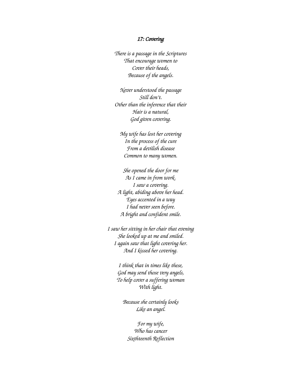#### *17: Covering*

*There is a passage in the Scriptures That encourage women to Cover their heads, Because of the angels.*

*Never understood the passage Still don't. Other than the inference that their Hair is a natural, God given covering.*

*My wife has lost her covering In the process of the cure From a devilish disease Common to many women.*

*She opened the door for me As I came in from work. I saw a covering. A light, abiding above her head. Eyes accented in a way I had never seen before. A bright and confident smile.*

*I saw her sitting in her chair that evening She looked up at me and smiled. I again saw that light covering her. And I kissed her covering.*

> *I think that in times like these, God may send those very angels, To help cover a suffering woman With light.*

*Because she certainly looks Like an angel.*

*For my wife, Who has cancer Sixthteenth Reflection*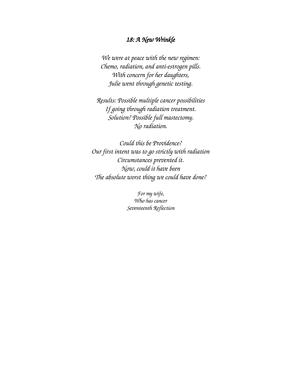# *18: A New Wrinkle*

*We were at peace with the new regimen: Chemo, radiation, and anti-estrogen pills. With concern for her daughters, Julie went through genetic testing.*

*Results: Possible multiple cancer possibilities If going through radiation treatment. Solution? Possible full mastectomy. No radiation.*

*Could this be Providence? Our first intent was to go strictly with radiation Circumstances prevented it. Now, could it have been The absolute worst thing we could have done?*

> *For my wife, Who has cancer Seventeenth Reflection*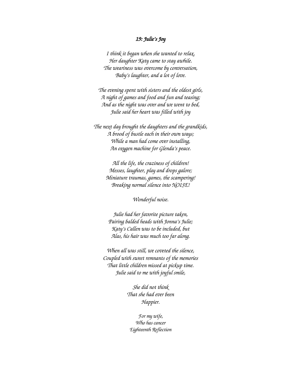### *19: Julie's Joy*

*I think it began when she wanted to relax, Her daughter Katy came to stay awhile. The weariness was overcome by conversation, Baby's laughter, and a lot of love.*

*The evening spent with sisters and the oldest girls, A night of games and food and fun and teasing; And as the night was over and we went to bed, Julie said her heart was filled with joy*

*The next day brought the daughters and the grandkids, A brood of bustle each in their own ways; While a man had come over installing, An oxygen machine for Glenda's peace.*

> *All the life, the craziness of children! Messes, laughter, play and drops galore; Miniature traumas, games, the scampering! Breaking normal silence into NOISE!*

> > *Wonderful noise.*

*Julie had her favorite picture taken, Pairing balded heads with Jonna's Julie; Katy's Callen was to be included, but Alas, his hair was much too far along.*

*When all was still, we coveted the silence, Coupled with sweet remnants of the memories That little children missed at pickup time. Julie said to me with joyful smile,*

> *She did not think That she had ever been Happier.*

*For my wife, Who has cancer Eighteenth Reflection*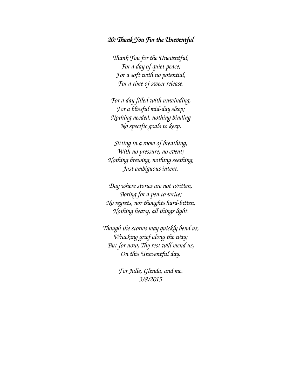## *20: Thank You For the Uneventful*

*Thank You for the Uneventful, For a day of quiet peace; For a soft with no potential, For a time of sweet release.*

*For a day filled with unwinding, For a blissful mid-day sleep; Nothing needed, nothing binding No specific goals to keep.*

*Sitting in a room of breathing, With no pressure, no event; Nothing brewing, nothing seething, Just ambiguous intent.*

*Day where stories are not written, Boring for a pen to write; No regrets, nor thoughts hard-bitten, Nothing heavy, all things light.*

*Though the storms may quickly bend us, Wracking grief along the way; But for now, Thy rest will mend us, On this Uneventful day.*

> *For Julie, Glenda, and me. 3/8/2015*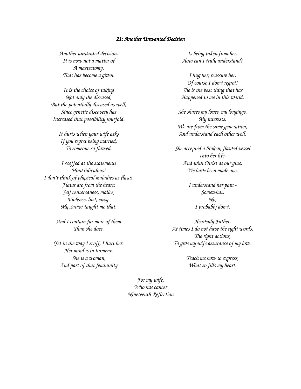#### *21: Another Unwanted Decision*

*Another unwanted decision. It is now not a matter of A mastectomy. That has become a given.*

*It is the choice of taking Not only the diseased, But the potentially diseased as well, Since genetic discovery has Increased that possibility fourfold.*

*It hurts when your wife asks If you regret being married, To someone so flawed.*

*I scoffed at the statement! How ridiculous! I don't think of physical maladies as flaws. Flaws are from the heart: Self centeredness, malice, Violence, lust, envy. My Savior taught me that.*

> *And I contain far more of them Than she does.*

*Yet in the way I scoff, I hurt her. Her mind is in torment. She is a woman, And part of that femininity*

*Is being taken from her. How can I truly understand?*

*I hug her, reassure her. Of course I don't regret! She is the best thing that has Happened to me in this world.*

*She shares my loves, my longings, My interests. We are from the same generation, And understand each other well.*

*She accepted a broken, flawed vessel Into her life, And with Christ as our glue, We have been made one.*

> *I understand her pain - Somewhat. No, I probably don't.*

*Heavenly Father, At times I do not have the right words, The right actions, To give my wife assurance of my love.*

> *Teach me how to express, What so fills my heart.*

*For my wife, Who has cancer Nineteenth Reflection*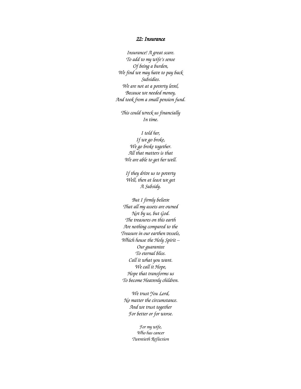#### *22: Insurance*

*Insurance! A great scare. To add to my wife's sense Of being a burden, We find we may have to pay back Subsidies. We are not at a poverty level, Because we needed money, And took from a small pension fund.*

*This could wreck us financially In time.*

*I told her, If we go broke, We go broke together. All that matters is that We are able to get her well.*

*If they drive us to poverty Well, then at least we get A Subsidy.*

*But I firmly believe That all my assets are owned Not by us, but God. The treasures on this earth Are nothing compared to the Treasure in our earthen vessels, Which house the Holy Spirit – Our guarantee To eternal bliss. Call it what you want. We call it Hope, Hope that transforms us To become Heavenly children.*

*We trust You Lord, No matter the circumstance. And we trust together For better or for worse.*

> *For my wife, Who has cancer Twentieth Reflection*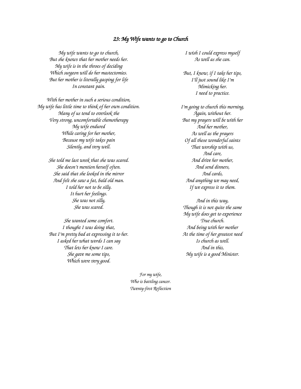#### *23: My Wife wants to go to Church*

*My wife wants to go to church, But she knows that her mother needs her. My wife is in the throes of deciding Which surgeon will do her mastectomies. But her mother is literally gasping for life In constant pain.*

*With her mother in such a serious condition, My wife has little time to think of her own condition. Many of us tend to overlook the Very strong, uncomfortable chemotherapy My wife endured While caring for her mother, Because my wife takes pain Silently, and very well.*

> *She told me last week that she was scared. She doesn't mention herself often. She said that she looked in the mirror And felt she saw a fat, bald old man. I told her not to be silly. It hurt her feelings. She was not silly, She was scared.*

> *She wanted some comfort. I thought I was doing that, But I'm pretty bad at expressing it to her. I asked her what words I can say That lets her know I care. She gave me some tips, Which were very good.*

*I wish I could express myself As well as she can.*

*But, I know, if I take her tips, I'll just sound like I'm Mimicking her. I need to practice.*

*I'm going to church this morning, Again, without her. But my prayers will be with her And her mother, As well as the prayers Of all those wonderful saints That worship with us, And care, And drive her mother, And send dinners, And cards, And anything we may need, If we express it to them.*

*And in this way, Though it is not quite the same My wife does get to experience True church. And being with her mother At the time of her greatest need Is church as well. And in this, My wife is a good Minister.*

*For my wife, Who is battling cancer. Twenty-first Reflection*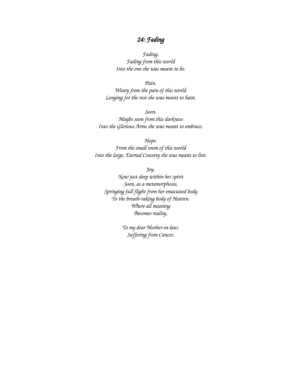# *24: Fading*

*Fading. Fading from this world Into the one she was meant to be.*

*Pain.*

*Weary from the pain of this world Longing for the rest she was meant to have.*

*Soon. Maybe soon from this darkness Into the Glorious Arms she was meant to embrace.*

*Hope.*

*From the small room of this world Into the large, Eternal Country she was meant to live.*

*Joy.*

*Now just deep within her spirit Soon, as a metamorphosis, Springing full flight from her emaciated body To the breath-taking body of Heaven. Where all meaning Becomes reality.*

> *To my dear Mother-in-law, Suffering from Cancer.*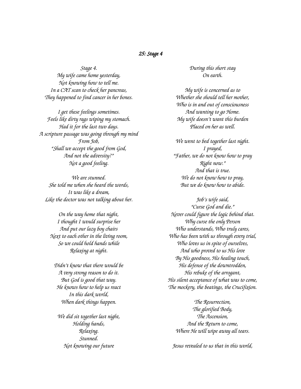### *25: Stage 4*

*Stage 4. My wife came home yesterday, Not knowing how to tell me. In a CAT scan to check her pancreas, They happened to find cancer in her bones.*

*I get these feelings sometimes. Feels like dirty rags wiping my stomach. Had it for the last two days. A scripture passage was going through my mind From Job, "Shall we accept the good from God, And not the adversity?" Not a good feeling.*

*We are stunned. She told me when she heard the words, It was like a dream, Like the doctor was not talking about her.*

*On the way home that night, I thought I would surprise her And put our lazy boy chairs Next to each other in the living room, So we could hold hands while Relaxing at night.*

*Didn't know that there would be A very strong reason to do it. But God is good that way. He knows how to help us react In this dark world, When dark things happen.*

*We did sit together last night, Holding hands, Relaxing. Stunned. Not knowing our future*

*During this short stay On earth.*

*My wife is concerned as to Whether she should tell her mother, Who is in and out of consciousness And wanting to go Home. My wife doesn't want this burden Placed on her as well.*

*We went to bed together last night. I prayed, "Father, we do not know how to pray Right now." And that is true. We do not know how to pray, But we do know how to abide.*

*Job's wife said, "Curse God and die." Never could figure the logic behind that. Why curse the only Person Who understands, Who truly cares, Who has been with us through every trial, Who loves us in spite of ourselves, And who proved to us His love By His goodness, His healing touch, His defense of the downtrodden, His rebuke of the arrogant, His silent acceptance of what was to come, The mockery, the beatings, the Crucifixion.*

*The Resurrection, The glorified Body, The Ascension, And the Return to come, Where He will wipe away all tears.*

*Jesus revealed to us that in this world,*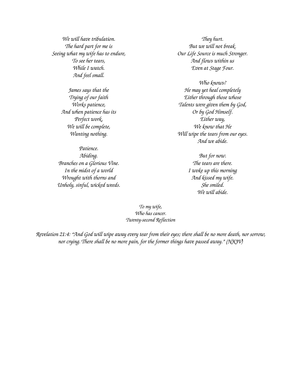*We will have tribulation. The hard part for me is Seeing what my wife has to endure, To see her tears, While I watch. And feel small.*

> *James says that the Trying of our faith Works patience, And when patience has its Perfect work, We will be complete, Wanting nothing.*

*Patience. Abiding. Branches on a Glorious Vine. In the midst of a world Wrought with thorns and Unholy, sinful, wicked weeds.*

*They hurt. But we will not break. Our Life Source is much Stronger. And flows within us Even at Stage Four.*

*Who knows? He may yet heal completely Either through those whose Talents were given them by God, Or by God Himself. Either way, We know that He Will wipe the tears from our eyes. And we abide.*

> *But for now. The tears are there. I woke up this morning And kissed my wife. She smiled. We will abide.*

*To my wife, Who has cancer. Twenty-second Reflection*

*Revelation 21:4: "And God will wipe away every tear from their eyes; there shall be no more death, nor sorrow, nor crying. There shall be no more pain, for the former things have passed away." (NKJV)*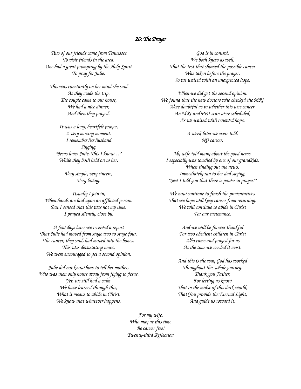## *26: The Prayer*

*Two of our friends came from Tennessee To visit friends in the area. One had a great prompting by the Holy Spirit To pray for Julie.*

*This was constantly on her mind she said As they made the trip. The couple came to our house, We had a nice dinner, And then they prayed.*

*It was a long, heartfelt prayer, A very moving moment. I remember her husband Singing, "Jesus loves Julie, This I know…" While they both held on to her.*

> *Very simple, very sincere, Very loving.*

*Usually I join in, When hands are laid upon an afflicted person. But I sensed that this was not my time. I prayed silently, close by.*

*A few days later we received a report That Julie had moved from stage two to stage four. The cancer, they said, had moved into the bones. This was devastating news. We were encouraged to get a second opinion,*

*Julie did not know how to tell her mother, Who was then only hours away from flying to Jesus. Yet, we still had a calm. We have learned through this, What it means to abide in Christ. We know that whatever happens,*

*God is in control. We both knew as well, That the test that showed the possible cancer Was taken before the prayer. So we waited with an unexpected hope.*

*When we did get the second opinion. We found that the new doctors who checked the MRI Were doubtful as to whether this was cancer. An MRI and PET scan were scheduled, As we waited with renewed hope.*

> *A week later we were told. NO cancer.*

*My wife told many about the good news. I especially was touched by one of our grandkids, When finding out the news, Immediately ran to her dad saying, "See! I told you that there is power in prayer!"*

*We now continue to finish the preventatives That we hope will keep cancer from returning. We will continue to abide in Christ For our sustenance.*

> *And we will be forever thankful For two obedient children in Christ Who came and prayed for us At the time we needed it most.*

*And this is the way God has worked Throughout this whole journey. Thank you Father, For letting us know That in the midst of this dark world, That You provide the Eternal Light, And guide us toward it.*

*For my wife, Who may at this time Be cancer free! Twenty-third Reflection*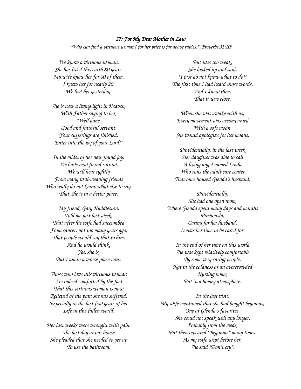#### *27: For My Dear Mother in Law*

*"Who can find a virtuous woman? for her price is far above rubies." (Proverbs 31:10)*

*We know a virtuous woman. She has lived this earth 80 years. My wife knew her for 60 of them. I knew her for nearly 20. We lost her yesterday.*

*She is now a living light in Heaven, With Father saying to her, "Well done. Good and faithful servant. Your sufferings are finished. Enter into the joy of your Lord!"*

*In the midst of her new found joy, We have new found sorrow. We will hear rightly From many well-meaning friends Who really do not know what else to say, That She is in a better place.*

*My friend, Gary Huddleston, Told me just last week, That after his wife had succumbed From cancer, not too many years ago, That people would say that to him, And he would think, Yes, she is, But I am in a worse place now.*

*Those who love this virtuous woman Are indeed comforted by the fact That this virtuous woman is now Relieved of the pain she has suffered, Especially in the last few years of her Life in this fallen world.*

*Her last weeks were wrought with pain. The last day at our house She pleaded that she needed to get up To use the bathroom,*

*But was too weak, She looked up and said, "I just do not know what to do!" The first time I had heard those words. And I knew then, That it was close.*

*When she was awake with us, Every movement was accompanied With a soft moan. She would apologize for her moans.*

*Providentially, in the last week Her daughter was able to call A living angel named Linda Who runs the adult care center That once housed Glenda's husband.*

*Providentially, She had one open room, Where Glenda spent many days and months Previously, Caring for her husband. It was her time to be cared for.*

*In the end of her time on this world She was kept relatively comfortable By some very caring people. Not in the coldness of an overcrowded Nursing home, But in a homey atmosphere.*

*In the last visit, My wife mentioned that she had bought begonias, One of Glenda's favorites. She could not speak well any longer, Probably from the meds, But then repeated "Begonias" many times. As my wife wept before her, She said "Don't cry".*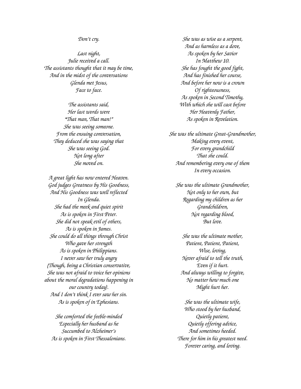*Don't cry.*

*Last night, Julie received a call. The assistants thought that it may be time, And in the midst of the conversations Glenda met Jesus, Face to face.*

> *The assistants said, Her last words were "That man, That man!" She was seeing someone. From the ensuing conversation, They deduced she was saying that She was seeing God. Not long after She moved on.*

*A great light has now entered Heaven. God judges Greatness by His Goodness, And His Goodness was well reflected In Glenda. She had the meek and quiet spirit As is spoken in First Peter. She did not speak evil of others, As is spoken in James. She could do all things through Christ Who gave her strength As is spoken in Philippians. I never saw her truly angry (Though, being a Christian conservative, She was not afraid to voice her opinions about the moral degradations happening in our country today). And I don't think I ever saw her sin. As is spoken of in Ephesians.*

*She comforted the feeble-minded Especially her husband as he Succumbed to Alzheimer's As is spoken in First Thessalonians.*

*She was as wise as a serpent, And as harmless as a dove, As spoken by her Savior In Matthew 10. She has fought the good fight, And has finished her course, And before her now is a crown Of righteousness, As spoken in Second Timothy, With which she will cast before Her Heavenly Father, As spoken in Revelation.*

*She was the ultimate Great-Grandmother, Making every event, For every grandchild That she could. And remembering every one of them In every occasion.*

*She was the ultimate Grandmother, Not only to her own, but Regarding my children as her Grandchildren, Not regarding blood, But love.*

*She was the ultimate mother, Patient, Patient, Patient, Wise, loving, Never afraid to tell the truth, Even if it hurt. And always willing to forgive, No matter how much one Might hurt her.*

*She was the ultimate wife, Who stood by her husband, Quietly patient, Quietly offering advice, And sometimes heeded. There for him in his greatest need. Forever caring, and loving.*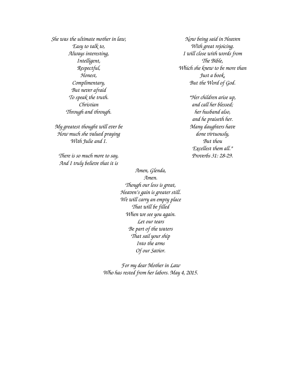*She was the ultimate mother in law, Easy to talk to, Always interesting, Intelligent, Respectful, Honest, Complimentary, But never afraid To speak the truth. Christian Through and through.*

*My greatest thought will ever be How much she valued praying With Julie and I.*

*There is so much more to say, And I truly believe that it is*

*Amen, Glenda, Amen. Though our loss is great, Heaven's gain is greater still. We will carry an empty place That will be filled When we see you again. Let our tears Be part of the waters That sail your ship Into the arms Of our Savior.*

*For my dear Mother in Law Who has rested from her labors. May 4, 2015.*

*Now being said in Heaven With great rejoicing. I will close with words from The Bible, Which she knew to be more than Just a book, But the Word of God.*

> *"Her children arise up, and call her blessed; her husband also, and he praiseth her. Many daughters have done virtuously, But thou Excellest them all." Proverbs 31: 28-29.*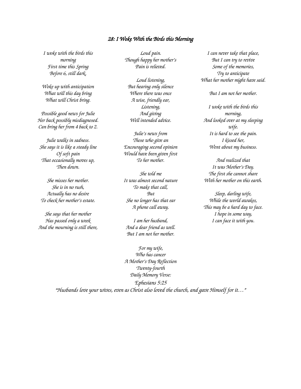#### *28: I Woke With the Birds this Morning*

*I woke with the birds this morning First time this Spring Before 6, still dark,*

*Woke up with anticipation What will this day bring What will Christ bring.*

*Possible good news for Julie Her back possibly misdiagnosed. Can bring her from 4 back to 2.*

*Julie walks in sadness. She says it is like a steady line Of soft pain That occasionally moves up, Then down.*

*She misses her mother. She is in no rush, Actually has no desire To check her mother's estate.*

*She says that her mother Has passed only a week And the mourning is still there,*

*Loud pain. Though happy her mother's Pain is relieved.*

*Loud listening, But hearing only silence Where there was once A wise, friendly ear, Listening, And giving Well intended advice.*

*Julie's news from Those who give an Encouraging second opinion Would have been given first To her mother.*

*She told me It was almost second nature To make that call, But She no longer has that ear A phone call away.*

*I am her husband, And a dear friend as well. But I am not her mother.*

*Who has cancer A Mother's Day Reflection Twenty-fourth Daily Memory Verse: Ephesians 5:25*

*I can never take that place, But I can try to revive Some of the memories, Try to anticipate What her mother might have said.*

*But I am not her mother.*

*I woke with the birds this morning, And looked over at my sleeping wife. It is hard to see the pain. I kissed her, Went about my business.*

*And realized that It was Mother's Day. The first she cannot share With her mother on this earth.*

*Sleep, darling wife, While the world awakes, This may be a hard day to face. I hope in some way, I can face it with you.*

*For my wife, "Husbands love your wives, even as Christ also loved the church, and gave Himself for it…"*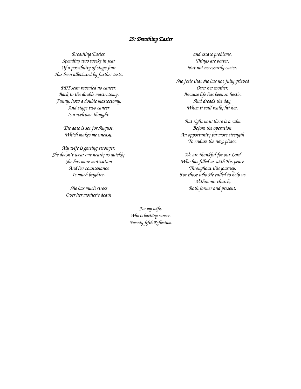#### *29: Breathing Easier*

*Breathing Easier. Spending two weeks in fear Of a possibility of stage four Has been alleviated by further tests.*

*PET scan revealed no cancer. Back to the double mastectomy. Funny, how a double mastectomy, And stage two cancer Is a welcome thought.*

> *The date is set for August. Which makes me uneasy.*

*My wife is getting stronger. She doesn't wear out nearly as quickly. She has more motivation And her countenance Is much brighter.*

> *She has much stress Over her mother's death*

*and estate problems. Things are better, But not necessarily easier.*

*She feels that she has not fully grieved Over her mother, Because life has been so hectic. And dreads the day, When it will really hit her.*

*But right now there is a calm Before the operation. An opportunity for more strength To endure the next phase.*

*We are thankful for our Lord Who has filled us with His peace Throughout this journey. For those who He called to help us Within our church, Both former and present.*

*For my wife, Who is battling cancer. Twenty-fifth Reflection*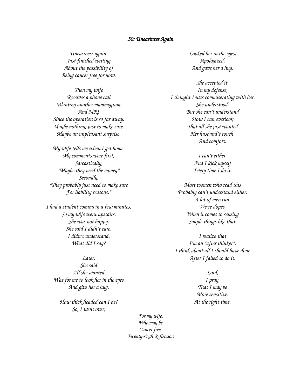#### *30: Uneasiness Again*

*Uneasiness again. Just finished writing About the possibility of Being cancer free for now.*

*Then my wife Receives a phone call Wanting another mammogram And MRI Since the operation is so far away. Maybe nothing; just to make sure. Maybe an unpleasant surprise.*

*My wife tells me when I get home. My comments were first, Sarcastically, "Maybe they need the money" Secondly, "They probably just need to make sure For liability reasons."*

*I had a student coming in a few minutes, So my wife went upstairs. She was not happy. She said I didn't care. I didn't understand. What did I say?*

*Later, She said All she wanted Was for me to look her in the eyes And give her a hug.*

*How thick headed can I be? So, I went over,*

*Looked her in the eyes, Apologized, And gave her a hug.*

*She accepted it. In my defense, I thought I was commiserating with her. She understood. But she can't understand How I can overlook That all she just wanted Her husband's touch. And comfort.*

> *I can't either. And I kick myself Every time I do it.*

*Most women who read this Probably can't understand either. A lot of men can. We're dopes, When it comes to sensing Simple things like that.*

*I realize that I'm an "after thinker". I think about all I should have done After I failed to do it.*

> *Lord, I pray, That I may be More sensitive. At the right time.*

*For my wife, Who may be Cancer free. Twenty-sixth Reflection*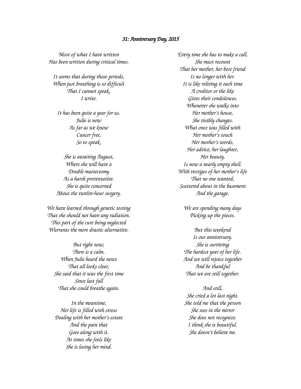#### *31: Anniversary Day, 2015*

*Most of what I have written Has been written during critical times.*

*It seems that during those periods, When just breathing is so difficult That I cannot speak, I write.*

*It has been quite a year for us. Julie is now As far as we know Cancer free, So to speak.*

*She is awaiting August, Where she will have a Double mastectomy As a harsh preventative. She is quite concerned About the twelve-hour surgery.*

*We have learned through genetic testing That she should not have any radiation. This part of the cure being neglected Warrants the more drastic alternative.*

*But right now, There is a calm. When Julie heard the news That all looks clear, She said that it was the first time Since last fall That she could breathe again.*

*In the meantime, Her life is filled with stress Dealing with her mother's estate And the pain that Goes along with it. At times she feels like She is losing her mind.*

*Every time she has to make a call, She must recount That her mother, her best friend Is no longer with her. It is like reliving it each time A creditor or the like Gives their condolences. Whenever she walks into Her mother's house, She visibly changes. What once was filled with Her mother's touch Her mother's words, Her advice, her laughter, Her beauty, Is now a nearly empty shell. With vestiges of her mother's life That no one wanted, Scattered about in the basement And the garage.*

*We are spending many days Picking up the pieces.*

*But this weekend Is our anniversary. She is surviving The hardest year of her life. And we will rejoice together And be thankful That we are still together.*

*And still, She cried a lot last night. She told me that the person She sees in the mirror She does not recognize. I think she is beautiful. She doesn't believe me.*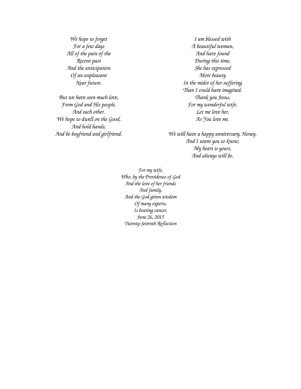*We hope to forget For a few days All of the pain of the Recent past And the anticipation Of an unpleasant Near future.*

*But we have seen much love, From God and His people, And each other. We hope to dwell on the Good, And hold hands, And be boyfriend and girlfriend.*

*I am blessed with A beautiful woman, And have found During this time, She has expressed More beauty In the midst of her suffering Than I could have imagined. Thank you Jesus, For my wonderful wife. Let me love her, As You love me.*

*We will have a happy anniversary, Honey. And I want you to know, My heart is yours, And always will be.*

*For my wife, Who, by the Providence of God And the love of her friends And family, And the God-given wisdom Of many experts, Is beating cancer, June 26, 2015 Twenty-Seventh Reflection*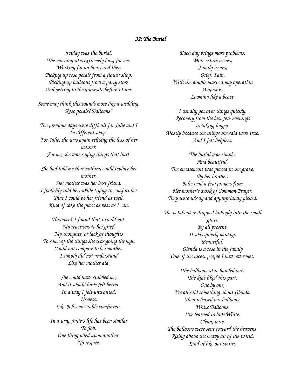### *32: The Burial*

*Friday was the burial. The morning was extremely busy for me: Working for an hour, and then Picking up rose petals from a flower shop, Picking up balloons from a party store And getting to the gravesite before 11 am.*

*Some may think this sounds more like a wedding. Rose petals? Balloons?*

*The previous days were difficult for Julie and I In different ways. For Julie, she was again reliving the loss of her mother. For me, she was saying things that hurt.*

*She had told me that nothing could replace her mother. Her mother was her best friend. I foolishly told her, while trying to comfort her That I could be her friend as well. Kind of take the place as best as I can.*

*This week I found that I could not. My reactions to her grief, My thoughts, or lack of thoughts To some of the things she was going through Could not compare to her mother. I simply did not understand Like her mother did.*

> *She could have stabbed me, And it would have felt better. In a way I felt unwanted. Useless. Like Job's miserable comforters.*

*In a way, Julie's life has been similar To Job. One thing piled upon another. No respite.*

*Each day brings more problems: More estate issues, Family issues, Grief, Pain. With the double mastectomy operation August 6, Looming like a beast.*

*I usually get over things quickly. Recovery from the last few evenings Is taking longer. Mostly because the things she said were true, And I felt helpless.*

*The burial was simple, And beautiful. The encasement was placed in the grave, By her brother. Julie read a few prayers from Her mother's Book of Common Prayer. They were wisely and appropriately picked.*

*The petals were dropped lovingly into the small grave By all present. It was quietly moving. Beautiful. Glenda is a rose in the family One of the nicest people I have ever met.*

*The balloons were handed out. The kids liked this part. One by one, We all said something about Glenda. Then released our balloons. White Balloons. I've learned to love White. Clean, pure. The balloons were sent toward the heavens. Rising above the heavy air of the world. Kind of like our spirits,*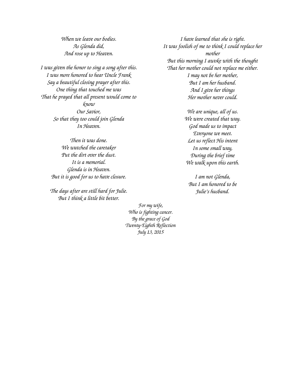*When we leave our bodies. As Glenda did, And rose up to Heaven.*

*I was given the honor to sing a song after this. I was more honored to hear Uncle Frank Say a beautiful closing prayer after this. One thing that touched me was That he prayed that all present would come to know Our Savior, So that they too could join Glenda In Heaven.*

> *Then it was done. We watched the caretaker Put the dirt over the dust. It is a memorial. Glenda is in Heaven. But it is good for us to have closure.*

*The days after are still hard for Julie. But I think a little bit better.*

*I have learned that she is right. It was foolish of me to think I could replace her mother But this morning I awoke with the thought That her mother could not replace me either. I may not be her mother, But I am her husband. And I give her things Her mother never could.*

> *We are unique, all of us. We were created that way. God made us to impact Everyone we meet. Let us reflect His intent In some small way, During the brief time We walk upon this earth.*

*I am not Glenda, But I am honored to be Julie's husband.*

*For my wife, Who is fighting cancer. By the grace of God Twenty-Eighth Reflection July 13, 2015*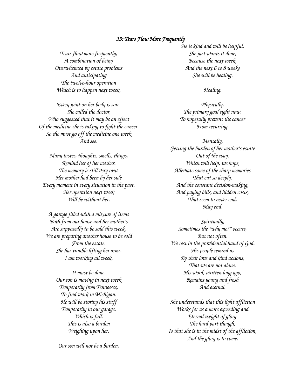#### *33: Tears Flow More Frequently*

*Tears flow more frequently, A combination of being Overwhelmed by estate problems And anticipating The twelve-hour operation Which is to happen next week.*

*Every joint on her body is sore. She called the doctor, Who suggested that it may be an effect Of the medicine she is taking to fight the cancer. So she must go off the medicine one week And see.*

*Many tastes, thoughts, smells, things, Remind her of her mother. The memory is still very raw. Her mother had been by her side Every moment in every situation in the past. Her operation next week Will be without her.*

*A garage filled with a mixture of items Both from our house and her mother's Are supposedly to be sold this week. We are preparing another house to be sold From the estate. She has trouble lifting her arms. I am working all week.*

> *It must be done. Our son is moving in next week Temporarily from Tennessee, To find work in Michigan. He will be storing his stuff Temporarily in our garage. Which is full. This is also a burden Weighing upon her.*

*Our son will not be a burden,*

*He is kind and will be helpful. She just wants it done, Because the next week, And the next 6 to 8 weeks She will be healing.*

*Healing.*

*Physically, The primary goal right now. To hopefully prevent the cancer From recurring.*

*Mentally, Getting the burden of her mother's estate Out of the way. Which will help, we hope, Alleviate some of the sharp memories That cut so deeply. And the constant decision-making, And paying bills, and hidden costs, That seem to never end, May end.*

*Spiritually, Sometimes the "why me?" occurs, But not often. We rest in the providential hand of God. His people remind us By their love and kind actions, That we are not alone. His word, written long ago, Remains young and fresh And eternal.*

*She understands that this light affliction Works for us a more exceeding and Eternal weight of glory. The hard part though, Is that she is in the midst of the affliction, And the glory is to come.*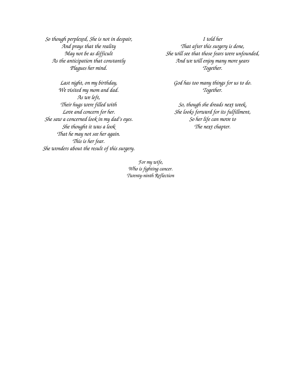*So though perplexed, She is not in despair, And prays that the reality May not be as difficult As the anticipation that constantly Plagues her mind.*

*Last night, on my birthday, We visited my mom and dad. As we left, Their hugs were filled with Love and concern for her. She saw a concerned look in my dad's eyes. She thought it was a look That he may not see her again. This is her fear. She wonders about the result of this surgery.*

*I told her That after this surgery is done, She will see that those fears were unfounded, And we will enjoy many more years Together.*

*God has too many things for us to do. Together.*

*So, though she dreads next week, She looks forward for its fulfillment, So her life can move to The next chapter.*

*For my wife, Who is fighting cancer. Twenty-ninth Reflection*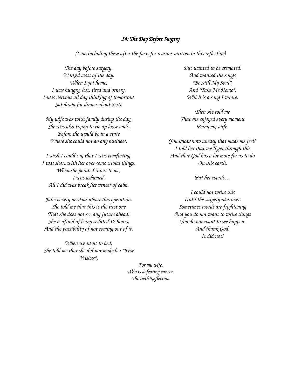### *34: The Day Before Surgery*

*(I am including these after the fact, for reasons written in this reflection)*

*The day before surgery. Worked most of the day. When I got home, I was hungry, hot, tired and ornery. I was nervous all day thinking of tomorrow. Sat down for dinner about 8:30.*

*My wife was with family during the day, She was also trying to tie up loose ends, Before she would be in a state Where she could not do any business.*

*I wish I could say that I was comforting. I was short with her over some trivial things. When she pointed it out to me, I was ashamed. All I did was break her veneer of calm.*

*Julie is very nervous about this operation. She told me that this is the first one That she does not see any future ahead. She is afraid of being sedated 12 hours, And the possibility of not coming out of it.*

*When we went to bed, She told me that she did not make her "Five Wishes",*

*But wanted to be cremated, And wanted the songs "Be Still My Soul", And "Take Me Home", Which is a song I wrote.*

*Then she told me That she enjoyed every moment Being my wife.*

*You know how uneasy that made me feel? I told her that we'll get through this And that God has a lot more for us to do On this earth.*

*But her words…*

*I could not write this Until the surgery was over. Sometimes words are frightening And you do not want to write things You do not want to see happen. And thank God, It did not!*

*For my wife, Who is defeating cancer. Thirtieth Reflection*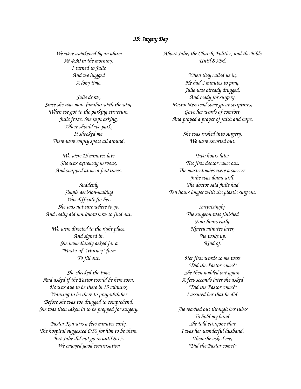#### *35: Surgery Day*

*We were awakened by an alarm At 4:30 in the morning. I turned to Julie And we hugged A long time.*

*Julie drove, Since she was more familiar with the way. When we got to the parking structure, Julie froze. She kept asking, Where should we park? It shocked me. There were empty spots all around.*

> *We were 15 minutes late She was extremely nervous, And snapped at me a few times.*

*Suddenly Simple decision-making Was difficult for her. She was not sure where to go, And really did not know how to find out.*

*We were directed to the right place, And signed in. She immediately asked for a "Power of Attorney" form To fill out.*

*She checked the time, And asked if the Pastor would be here soon. He was due to be there in 15 minutes, Wanting to be there to pray with her Before she was too drugged to comprehend. She was then taken in to be prepped for surgery.*

*Pastor Ken was a few minutes early. The hospital suggested 6:30 for him to be there. But Julie did not go in until 6:15. We enjoyed good conversation*

*About Julie, the Church, Politics, and the Bible Until 8 AM.*

*When they called us in, He had 2 minutes to pray. Julie was already drugged, And ready for surgery. Pastor Ken read some great scriptures, Gave her words of comfort, And prayed a prayer of faith and hope.*

> *She was rushed into surgery, We were escorted out.*

*Two hours later The first doctor came out. The mastectomies were a success. Julie was doing well. The doctor said Julie had Ten hours longer with the plastic surgeon.*

> *Surprisingly, The surgeon was finished Four hours early. Ninety minutes later, She woke up. Kind of.*

*Her first words to me were "Did the Pastor come?" She then nodded out again. A few seconds later she asked "Did the Pastor come?" I assured her that he did.*

*She reached out through her tubes To hold my hand. She told everyone that I was her wonderful husband. Then she asked me, "Did the Pastor come?"*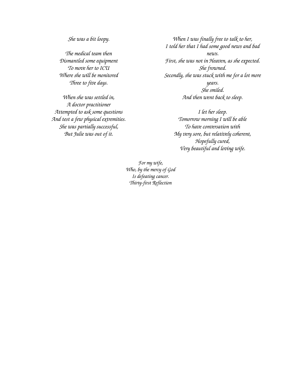*She was a bit loopy.*

*The medical team then Dismantled some equipment To move her to ICU Where she will be monitored Three to five days.*

*When she was settled in, A doctor practitioner Attempted to ask some questions And test a few physical extremities. She was partially successful, But Julie was out of it.*

*When I was finally free to talk to her, I told her that I had some good news and bad news. First, she was not in Heaven, as she expected. She frowned. Secondly, she was stuck with me for a lot more years. She smiled. And then went back to sleep.*

> *I let her sleep. Tomorrow morning I will be able To have conversation with My very sore, but relatively coherent, Hopefully cured, Very beautiful and loving wife.*

*For my wife, Who, by the mercy of God Is defeating cancer. Thirty-first Reflection*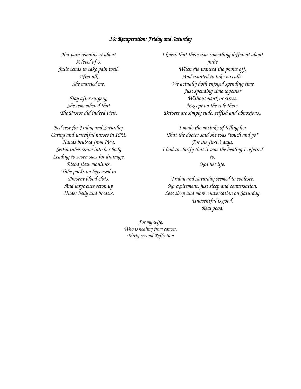#### *36: Recuperation: Friday and Saturday*

*Her pain remains at about A level of 6. Julie tends to take pain well. After all, She married me.*

*Day after surgery, She remembered that The Pastor did indeed visit.*

*Bed rest for Friday and Saturday. Caring and watchful nurses in ICU. Hands bruised from IV's. Seven tubes sown into her body Leading to seven sacs for drainage. Blood flow monitors. Tube packs on legs used to Prevent blood clots. And large cuts sewn up Under belly and breasts.*

*I knew that there was something different about Julie When she wanted the phone off, And wanted to take no calls. We actually both enjoyed spending time Just spending time together Without work or stress. (Except on the ride there. Drivers are simply rude, selfish and obnoxious.)*

*I made the mistake of telling her That the doctor said she was "touch and go" For the first 3 days. I had to clarify that it was the healing I referred to, Not her life.*

*Friday and Saturday seemed to coalesce. No excitement, just sleep and conversation. Less sleep and more conversation on Saturday. Uneventful is good. Real good.*

*For my wife, Who is healing from cancer. Thirty-second Reflection*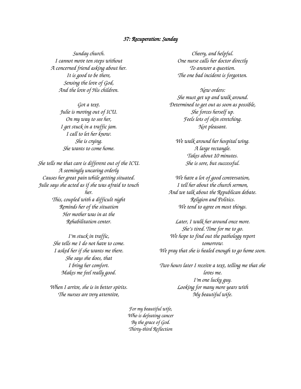#### *37: Recuperation: Sunday*

*Sunday church. I cannot move ten steps without A concerned friend asking about her. It is good to be there, Sensing the love of God, And the love of His children.*

> *Got a text. Julie is moving out of ICU. On my way to see her, I get stuck in a traffic jam. I call to let her know. She is crying. She wants to come home.*

*She tells me that care is different out of the ICU. A seemingly uncaring orderly Causes her great pain while getting situated. Julie says she acted as if she was afraid to touch her. This, coupled with a difficult night Reminds her of the situation Her mother was in at the Rehabilitation center.*

> *I'm stuck in traffic, She tells me I do not have to come. I asked her if she wants me there. She says she does, that I bring her comfort. Makes me feel really good.*

*When I arrive, she is in better spirits. The nurses are very attentive,*

*Cheery, and helpful. One nurse calls her doctor directly To answer a question. The one bad incident is forgotten.*

*New orders: She must get up and walk around. Determined to get out as soon as possible, She forces herself up. Feels lots of skin stretching. Not pleasant.*

*We walk around her hospital wing. A large rectangle. Takes about 10 minutes. She is sore, but successful.*

*We have a lot of good conversation, I tell her about the church sermon, And we talk about the Republican debate. Religion and Politics. We tend to agree on most things.*

*Later, I walk her around once more. She's tired. Time for me to go. We hope to find out the pathology report tomorrow. We pray that she is healed enough to go home soon.*

*Two hours later I receive a text, telling me that she loves me. I'm one lucky guy. Looking for many more years with My beautiful wife.*

*For my beautiful wife, Who is defeating cancer By the grace of God. Thirty-third Reflection*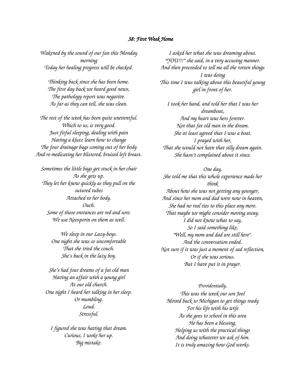#### *38: First Week Home*

*Wakened by the sound of our fan this Monday morning Today her healing progress will be checked.*

*Thinking back since she has been home. The first day back we heard good news, The pathology report was negative. As far as they can tell, she was clean.*

*The rest of the week has been quite uneventful. Which to us, is very good. Just fitful sleeping, dealing with pain Having a klutz learn how to change The four drainage bags coming out of her body And re-medicating her blistered, bruised left breast.*

*Sometimes the little bags get stuck in her chair As she gets up. They let her know quickly as they pull on the sutured tubes Attached to her body. Ouch. Some of those entrances are red and sore. We use Neosporin on them as well.*

> *We sleep in our Lazy-boys. One night she was so uncomfortable That she tried the couch. She's back in the lazy boy.*

*She's had four dreams of a fat old man Having an affair with a young girl At our old church. One night I heard her talking in her sleep. Or mumbling. Loud. Stressful.*

*I figured she was having that dream. Curious, I woke her up. Big mistake.*

*I asked her what she was dreaming about. "YOU!!!" she said, in a very accusing manner. And then proceeded to tell me all the rotten things I was doing This time I was talking about this beautiful young girl in front of her.*

*I took her hand, and told her that I was her dreamboat, And my heart was hers forever. Not that fat old man in the dream. She at least agreed that I was a boat. I prayed with her, That she would not have that silly dream again. She hasn't complained about it since.*

*One day, She told me that this whole experience made her think About how she was not getting any younger, And since her mom and dad were now in heaven, She had no real ties to this place any more. That maybe we might consider moving away. I did not know what to say, So I said something like, "Well, my mom and dad are still here". And the conversation ended. Not sure if it was just a moment of sad reflection, Or if she was serious. But I have put it in prayer.*

#### *Providentially,*

*This was the week our son Joel Moved back to Michigan to get things ready For his life with his wife As she goes to school in this area He has been a blessing, Helping us with the practical things And doing whatever we ask of him. It is truly amazing how God works.*